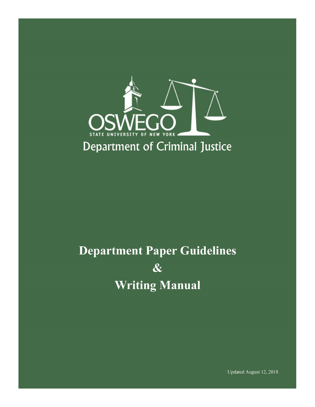

# **Department Paper Guidelines**  $\boldsymbol{\&}$ **Writing Manual**

Updated August 12, 2018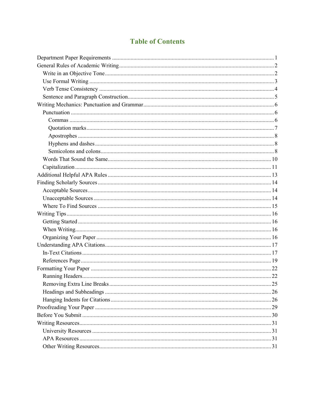# **Table of Contents**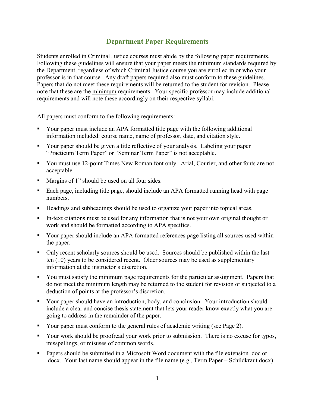# **Department Paper Requirements**

<span id="page-2-0"></span>Students enrolled in Criminal Justice courses must abide by the following paper requirements. Following these guidelines will ensure that your paper meets the minimum standards required by the Department, regardless of which Criminal Justice course you are enrolled in or who your professor is in that course. Any draft papers required also must conform to these guidelines. Papers that do not meet these requirements will be returned to the student for revision. Please note that these are the minimum requirements. Your specific professor may include additional requirements and will note these accordingly on their respective syllabi.

All papers must conform to the following requirements:

- Your paper must include an APA formatted title page with the following additional information included: course name, name of professor, date, and citation style.
- Your paper should be given a title reflective of your analysis. Labeling your paper "Practicum Term Paper" or "Seminar Term Paper" is not acceptable.
- You must use 12-point Times New Roman font only. Arial, Courier, and other fonts are not acceptable.
- Margins of 1" should be used on all four sides.
- Each page, including title page, should include an APA formatted running head with page numbers.
- Headings and subheadings should be used to organize your paper into topical areas.
- In-text citations must be used for any information that is not your own original thought or work and should be formatted according to APA specifics.
- Your paper should include an APA formatted references page listing all sources used within the paper.
- Only recent scholarly sources should be used. Sources should be published within the last ten (10) years to be considered recent. Older sources may be used as supplementary information at the instructor's discretion.
- You must satisfy the minimum page requirements for the particular assignment. Papers that do not meet the minimum length may be returned to the student for revision or subjected to a deduction of points at the professor's discretion.
- Your paper should have an introduction, body, and conclusion. Your introduction should include a clear and concise thesis statement that lets your reader know exactly what you are going to address in the remainder of the paper.
- Your paper must conform to the general rules of academic writing (see Page 2).
- Your work should be proofread your work prior to submission. There is no excuse for typos, misspellings, or misuses of common words.
- Papers should be submitted in a Microsoft Word document with the file extension .doc or .docx. Your last name should appear in the file name (e.g., Term Paper – Schildkraut.docx).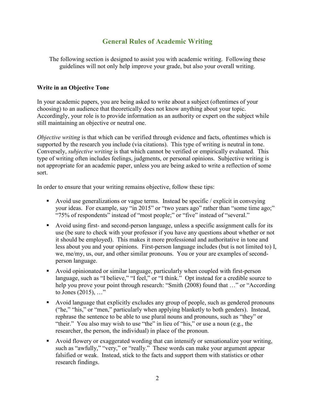# **General Rules of Academic Writing**

<span id="page-3-0"></span>The following section is designed to assist you with academic writing. Following these guidelines will not only help improve your grade, but also your overall writing.

## <span id="page-3-1"></span>**Write in an Objective Tone**

In your academic papers, you are being asked to write about a subject (oftentimes of your choosing) to an audience that theoretically does not know anything about your topic. Accordingly, your role is to provide information as an authority or expert on the subject while still maintaining an objective or neutral one.

*Objective writing* is that which can be verified through evidence and facts, oftentimes which is supported by the research you include (via citations). This type of writing is neutral in tone. Conversely, *subjective writing* is that which cannot be verified or empirically evaluated. This type of writing often includes feelings, judgments, or personal opinions. Subjective writing is not appropriate for an academic paper, unless you are being asked to write a reflection of some sort.

In order to ensure that your writing remains objective, follow these tips:

- Avoid use generalizations or vague terms. Instead be specific / explicit in conveying your ideas. For example, say "in 2015" or "two years ago" rather than "some time ago;" "75% of respondents" instead of "most people;" or "five" instead of "several."
- Avoid using first- and second-person language, unless a specific assignment calls for its use (be sure to check with your professor if you have any questions about whether or not it should be employed). This makes it more professional and authoritative in tone and less about you and your opinions. First-person language includes (but is not limited to) I, we, me/my, us, our, and other similar pronouns. You or your are examples of secondperson language.
- Avoid opinionated or similar language, particularly when coupled with first-person language, such as "I believe," "I feel," or "I think." Opt instead for a credible source to help you prove your point through research: "Smith (2008) found that ..." or "According to Jones (2015), …"
- Avoid language that explicitly excludes any group of people, such as gendered pronouns ("he," "his," or "men," particularly when applying blanketly to both genders). Instead, rephrase the sentence to be able to use plural nouns and pronouns, such as "they" or "their." You also may wish to use "the" in lieu of "his," or use a noun (e.g., the researcher, the person, the individual) in place of the pronoun.
- Avoid flowery or exaggerated wording that can intensify or sensationalize your writing, such as "awfully," "very," or "really." These words can make your argument appear falsified or weak. Instead, stick to the facts and support them with statistics or other research findings.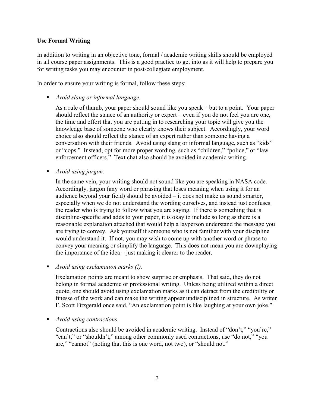### <span id="page-4-0"></span>**Use Formal Writing**

In addition to writing in an objective tone, formal / academic writing skills should be employed in all course paper assignments. This is a good practice to get into as it will help to prepare you for writing tasks you may encounter in post-collegiate employment.

In order to ensure your writing is formal, follow these steps:

▪ *Avoid slang or informal language.*

As a rule of thumb, your paper should sound like you speak – but to a point. Your paper should reflect the stance of an authority or expert – even if you do not feel you are one, the time and effort that you are putting in to researching your topic will give you the knowledge base of someone who clearly knows their subject. Accordingly, your word choice also should reflect the stance of an expert rather than someone having a conversation with their friends. Avoid using slang or informal language, such as "kids" or "cops." Instead, opt for more proper wording, such as "children," "police," or "law enforcement officers." Text chat also should be avoided in academic writing.

■ *Avoid using jargon.* 

In the same vein, your writing should not sound like you are speaking in NASA code. Accordingly, jargon (any word or phrasing that loses meaning when using it for an audience beyond your field) should be avoided – it does not make us sound smarter, especially when we do not understand the wording ourselves, and instead just confuses the reader who is trying to follow what you are saying. If there is something that is discipline-specific and adds to your paper, it is okay to include so long as there is a reasonable explanation attached that would help a layperson understand the message you are trying to convey. Ask yourself if someone who is not familiar with your discipline would understand it. If not, you may wish to come up with another word or phrase to convey your meaning or simplify the language. This does not mean you are downplaying the importance of the idea – just making it clearer to the reader.

■ *Avoid using exclamation marks (!).* 

Exclamation points are meant to show surprise or emphasis. That said, they do not belong in formal academic or professional writing. Unless being utilized within a direct quote, one should avoid using exclamation marks as it can detract from the credibility or finesse of the work and can make the writing appear undisciplined in structure. As writer F. Scott Fitzgerald once said, "An exclamation point is like laughing at your own joke."

■ *Avoid using contractions.* 

Contractions also should be avoided in academic writing. Instead of "don't," "you're," "can't," or "shouldn't," among other commonly used contractions, use "do not," "you are," "cannot" (noting that this is one word, not two), or "should not."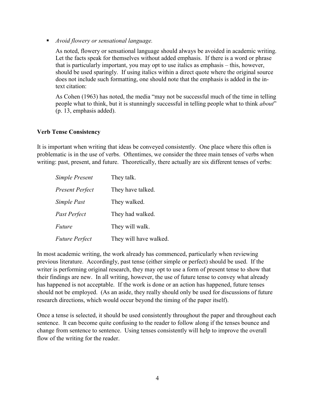▪ *Avoid flowery or sensational language.*

As noted, flowery or sensational language should always be avoided in academic writing. Let the facts speak for themselves without added emphasis. If there is a word or phrase that is particularly important, you may opt to use italics as emphasis – this, however, should be used sparingly. If using italics within a direct quote where the original source does not include such formatting, one should note that the emphasis is added in the intext citation:

As Cohen (1963) has noted, the media "may not be successful much of the time in telling people what to think, but it is stunningly successful in telling people what to think *about*" (p. 13, emphasis added).

#### <span id="page-5-0"></span>**Verb Tense Consistency**

It is important when writing that ideas be conveyed consistently. One place where this often is problematic is in the use of verbs. Oftentimes, we consider the three main tenses of verbs when writing: past, present, and future. Theoretically, there actually are six different tenses of verbs:

| Simple Present         | They talk.             |
|------------------------|------------------------|
| <b>Present Perfect</b> | They have talked.      |
| Simple Past            | They walked.           |
| Past Perfect           | They had walked.       |
| <b>Future</b>          | They will walk.        |
| <b>Future Perfect</b>  | They will have walked. |

In most academic writing, the work already has commenced, particularly when reviewing previous literature. Accordingly, past tense (either simple or perfect) should be used. If the writer is performing original research, they may opt to use a form of present tense to show that their findings are new. In all writing, however, the use of future tense to convey what already has happened is not acceptable. If the work is done or an action has happened, future tenses should not be employed. (As an aside, they really should only be used for discussions of future research directions, which would occur beyond the timing of the paper itself).

Once a tense is selected, it should be used consistently throughout the paper and throughout each sentence. It can become quite confusing to the reader to follow along if the tenses bounce and change from sentence to sentence. Using tenses consistently will help to improve the overall flow of the writing for the reader.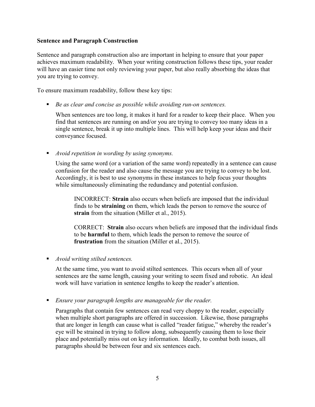### <span id="page-6-0"></span>**Sentence and Paragraph Construction**

Sentence and paragraph construction also are important in helping to ensure that your paper achieves maximum readability. When your writing construction follows these tips, your reader will have an easier time not only reviewing your paper, but also really absorbing the ideas that you are trying to convey.

To ensure maximum readability, follow these key tips:

■ *Be as clear and concise as possible while avoiding run-on sentences.* 

When sentences are too long, it makes it hard for a reader to keep their place. When you find that sentences are running on and/or you are trying to convey too many ideas in a single sentence, break it up into multiple lines. This will help keep your ideas and their conveyance focused.

■ *Avoid repetition in wording by using synonyms.* 

Using the same word (or a variation of the same word) repeatedly in a sentence can cause confusion for the reader and also cause the message you are trying to convey to be lost. Accordingly, it is best to use synonyms in these instances to help focus your thoughts while simultaneously eliminating the redundancy and potential confusion.

INCORRECT: **Strain** also occurs when beliefs are imposed that the individual finds to be **straining** on them, which leads the person to remove the source of **strain** from the situation (Miller et al., 2015).

CORRECT: **Strain** also occurs when beliefs are imposed that the individual finds to be **harmful** to them, which leads the person to remove the source of **frustration** from the situation (Miller et al., 2015).

■ *Avoid writing stilted sentences.* 

At the same time, you want to avoid stilted sentences. This occurs when all of your sentences are the same length, causing your writing to seem fixed and robotic. An ideal work will have variation in sentence lengths to keep the reader's attention.

■ *Ensure your paragraph lengths are manageable for the reader.* 

Paragraphs that contain few sentences can read very choppy to the reader, especially when multiple short paragraphs are offered in succession. Likewise, those paragraphs that are longer in length can cause what is called "reader fatigue," whereby the reader's eye will be strained in trying to follow along, subsequently causing them to lose their place and potentially miss out on key information. Ideally, to combat both issues, all paragraphs should be between four and six sentences each.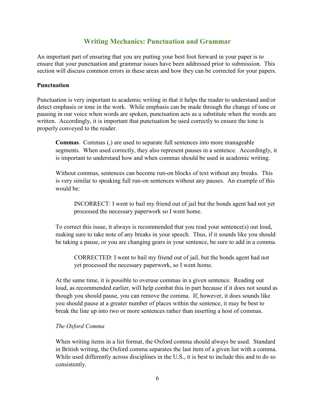# **Writing Mechanics: Punctuation and Grammar**

<span id="page-7-0"></span>An important part of ensuring that you are putting your best foot forward in your paper is to ensure that your punctuation and grammar issues have been addressed prior to submission. This section will discuss common errors in these areas and how they can be corrected for your papers.

#### <span id="page-7-1"></span>**Punctuation**

Punctuation is very important to academic writing in that it helps the reader to understand and/or detect emphasis or tone in the work. While emphasis can be made through the change of tone or pausing in our voice when words are spoken, punctuation acts as a substitute when the words are written. Accordingly, it is important that punctuation be used correctly to ensure the tone is properly conveyed to the reader.

<span id="page-7-2"></span>**Commas**. Commas (,) are used to separate full sentences into more manageable segments. When used correctly, they also represent pauses in a sentence. Accordingly, it is important to understand how and when commas should be used in academic writing.

Without commas, sentences can become run-on blocks of text without any breaks. This is very similar to speaking full run-on sentences without any pauses. An example of this would be:

INCORRECT: I went to bail my friend out of jail but the bonds agent had not yet processed the necessary paperwork so I went home.

To correct this issue, it always is recommended that you read your sentence(s) out loud, making sure to take note of any breaks in your speech. Thus, if it sounds like you should be taking a pause, or you are changing gears in your sentence, be sure to add in a comma.

CORRECTED: I went to bail my friend out of jail, but the bonds agent had not yet processed the necessary paperwork, so I went home.

At the same time, it is possible to overuse commas in a given sentence. Reading out loud, as recommended earlier, will help combat this in part because if it does not sound as though you should pause, you can remove the comma. If, however, it does sounds like you should pause at a greater number of places within the sentence, it may be best to break the line up into two or more sentences rather than inserting a host of commas.

#### *The Oxford Comma*

When writing items in a list format, the Oxford comma should always be used. Standard in British writing, the Oxford comma separates the last item of a given list with a comma. While used differently across disciplines in the U.S., it is best to include this and to do so consistently.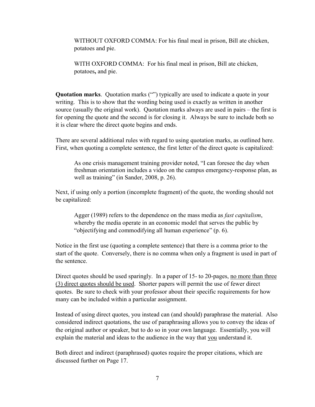WITHOUT OXFORD COMMA: For his final meal in prison, Bill ate chicken, potatoes and pie.

WITH OXFORD COMMA: For his final meal in prison, Bill ate chicken, potatoes**,** and pie.

<span id="page-8-0"></span>**Quotation marks**. Quotation marks ("") typically are used to indicate a quote in your writing. This is to show that the wording being used is exactly as written in another source (usually the original work). Quotation marks always are used in pairs – the first is for opening the quote and the second is for closing it. Always be sure to include both so it is clear where the direct quote begins and ends.

There are several additional rules with regard to using quotation marks, as outlined here. First, when quoting a complete sentence, the first letter of the direct quote is capitalized:

As one crisis management training provider noted, "I can foresee the day when freshman orientation includes a video on the campus emergency-response plan, as well as training" (in Sander, 2008, p. 26).

Next, if using only a portion (incomplete fragment) of the quote, the wording should not be capitalized:

Agger (1989) refers to the dependence on the mass media as *fast capitalism*, whereby the media operate in an economic model that serves the public by "objectifying and commodifying all human experience" (p. 6).

Notice in the first use (quoting a complete sentence) that there is a comma prior to the start of the quote. Conversely, there is no comma when only a fragment is used in part of the sentence.

Direct quotes should be used sparingly. In a paper of 15- to 20-pages, no more than three (3) direct quotes should be used. Shorter papers will permit the use of fewer direct quotes. Be sure to check with your professor about their specific requirements for how many can be included within a particular assignment.

Instead of using direct quotes, you instead can (and should) paraphrase the material. Also considered indirect quotations, the use of paraphrasing allows you to convey the ideas of the original author or speaker, but to do so in your own language. Essentially, you will explain the material and ideas to the audience in the way that you understand it.

Both direct and indirect (paraphrased) quotes require the proper citations, which are discussed further on Page 17.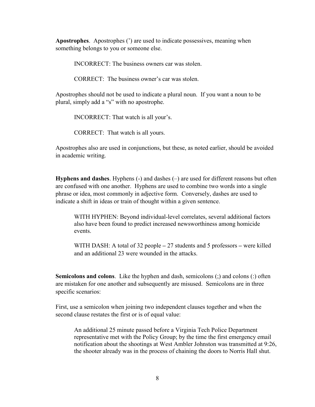<span id="page-9-0"></span>**Apostrophes**. Apostrophes (') are used to indicate possessives, meaning when something belongs to you or someone else.

INCORRECT: The business owners car was stolen.

CORRECT: The business owner's car was stolen.

Apostrophes should not be used to indicate a plural noun. If you want a noun to be plural, simply add a "s" with no apostrophe.

INCORRECT: That watch is all your's.

CORRECT: That watch is all yours.

Apostrophes also are used in conjunctions, but these, as noted earlier, should be avoided in academic writing.

<span id="page-9-1"></span>**Hyphens and dashes**. Hyphens (-) and dashes (–) are used for different reasons but often are confused with one another. Hyphens are used to combine two words into a single phrase or idea, most commonly in adjective form. Conversely, dashes are used to indicate a shift in ideas or train of thought within a given sentence.

WITH HYPHEN: Beyond individual-level correlates, several additional factors also have been found to predict increased newsworthiness among homicide events.

WITH DASH: A total of 32 people **–** 27 students and 5 professors **–** were killed and an additional 23 were wounded in the attacks.

<span id="page-9-2"></span>**Semicolons and colons**. Like the hyphen and dash, semicolons (;) and colons (:) often are mistaken for one another and subsequently are misused. Semicolons are in three specific scenarios:

First, use a semicolon when joining two independent clauses together and when the second clause restates the first or is of equal value:

An additional 25 minute passed before a Virginia Tech Police Department representative met with the Policy Group; by the time the first emergency email notification about the shootings at West Ambler Johnston was transmitted at 9:26, the shooter already was in the process of chaining the doors to Norris Hall shut.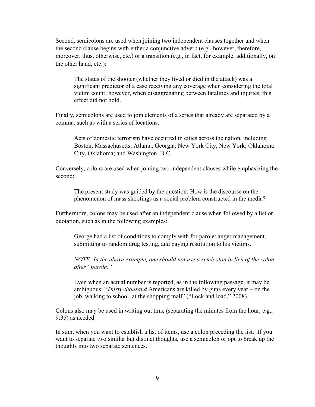Second, semicolons are used when joining two independent clauses together and when the second clause begins with either a conjunctive adverb (e.g., however, therefore, moreover, thus, otherwise, etc.) or a transition (e.g., in fact, for example, additionally, on the other hand, etc.):

The status of the shooter (whether they lived or died in the attack) was a significant predictor of a case receiving any coverage when considering the total victim count; however, when disaggregating between fatalities and injuries, this effect did not hold.

Finally, semicolons are used to join elements of a series that already are separated by a comma, such as with a series of locations:

Acts of domestic terrorism have occurred in cities across the nation, including Boston, Massachusetts; Atlanta, Georgia; New York City, New York; Oklahoma City, Oklahoma; and Washington, D.C.

Conversely, colons are used when joining two independent clauses while emphasizing the second:

The present study was guided by the question: How is the discourse on the phenomenon of mass shootings as a social problem constructed in the media?

Furthermore, colons may be used after an independent clause when followed by a list or quotation, such as in the following examples:

George had a list of conditions to comply with for parole: anger management, submitting to random drug testing, and paying restitution to his victims.

*NOTE: In the above example, one should not use a semicolon in lieu of the colon after "parole."*

Even when an actual number is reported, as in the following passage, it may be ambiguous: "*Thirty-thousand* Americans are killed by guns every year – on the job, walking to school, at the shopping mall" ("Lock and load," 2008).

Colons also may be used in writing out time (separating the minutes from the hour; e.g., 9:35) as needed.

In sum, when you want to establish a list of items, use a colon preceding the list. If you want to separate two similar but distinct thoughts, use a semicolon or opt to break up the thoughts into two separate sentences.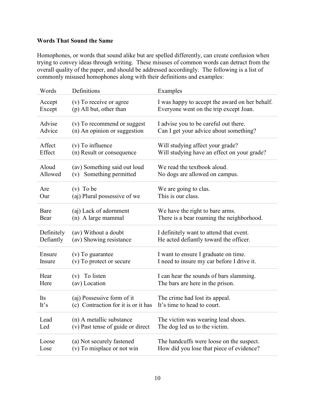## <span id="page-11-0"></span>**Words That Sound the Same**

Homophones, or words that sound alike but are spelled differently, can create confusion when trying to convey ideas through writing. These misuses of common words can detract from the overall quality of the paper, and should be addressed accordingly. The following is a list of commonly misused homophones along with their definitions and examples:

| Words      | Definitions                         | Examples                                       |
|------------|-------------------------------------|------------------------------------------------|
| Accept     | (v) To receive or agree             | I was happy to accept the award on her behalf. |
| Except     | (p) All but, other than             | Everyone went on the trip except Joan.         |
| Advise     | (v) To recommend or suggest         | I advise you to be careful out there.          |
| Advice     | (n) An opinion or suggestion        | Can I get your advice about something?         |
| Affect     | $(v)$ To influence                  | Will studying affect your grade?               |
| Effect     | (n) Result or consequence           | Will studying have an effect on your grade?    |
| Aloud      | (av) Something said out loud        | We read the textbook aloud.                    |
| Allowed    | (v) Something permitted             | No dogs are allowed on campus.                 |
| Are        | $(v)$ To be                         | We are going to clas.                          |
| Our        | (aj) Plural possessive of we        | This is our class.                             |
| Bare       | (aj) Lack of adornment              | We have the right to bare arms.                |
| Bear       | (n) A large mammal                  | There is a bear roaming the neighborhood.      |
| Definitely | (av) Without a doubt                | I definitely want to attend that event.        |
| Defiantly  | (av) Showing resistance             | He acted defiantly toward the officer.         |
| Ensure     | (v) To guarantee                    | I want to ensure I graduate on time.           |
| Insure     | (v) To protect or secure            | I need to insure my car before I drive it.     |
| Hear       | (v) To listen                       | I can hear the sounds of bars slamming.        |
| Here       | (av) Location                       | The bars are here in the prison.               |
| Its        | (aj) Possessive form of it          | The crime had lost its appeal.                 |
| It's       | (c) Contraction for it is or it has | It's time to head to court.                    |
| Lead       | (n) A metallic substance            | The victim was wearing lead shoes.             |
| Led        | (v) Past tense of guide or direct   | The dog led us to the victim.                  |
| Loose      | (a) Not securely fastened           | The handcuffs were loose on the suspect.       |
| Lose       | (v) To misplace or not win          | How did you lose that piece of evidence?       |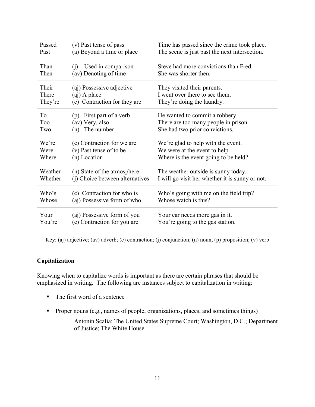| Passed           | (v) Past tense of pass                                              | Time has passed since the crime took place.                                                              |
|------------------|---------------------------------------------------------------------|----------------------------------------------------------------------------------------------------------|
| Past             | (a) Beyond a time or place                                          | The scene is just past the next intersection.                                                            |
| Than<br>Then     | Used in comparison<br>(i)<br>(av) Denoting of time                  | Steve had more convictions than Fred.<br>She was shorter then.                                           |
| Their            | (aj) Possessive adjective                                           | They visited their parents.                                                                              |
| There            | (aj) A place                                                        | I went over there to see them.                                                                           |
| They're          | (c) Contraction for they are                                        | They're doing the laundry.                                                                               |
| To<br>Too<br>Two | First part of a verb<br>(p)<br>(av) Very, also<br>The number<br>(n) | He wanted to commit a robbery.<br>There are too many people in prison.<br>She had two prior convictions. |
| We're            | (c) Contraction for we are                                          | We're glad to help with the event.                                                                       |
| Were             | (v) Past tense of to be                                             | We were at the event to help.                                                                            |
| Where            | (n) Location                                                        | Where is the event going to be held?                                                                     |
| Weather          | (n) State of the atmosphere                                         | The weather outside is sunny today.                                                                      |
| Whether          | (j) Choice between alternatives                                     | I will go visit her whether it is sunny or not.                                                          |
| Who's            | (c) Contraction for who is                                          | Who's going with me on the field trip?                                                                   |
| Whose            | (aj) Possessive form of who                                         | Whose watch is this?                                                                                     |
| Your             | (aj) Possessive form of you                                         | Your car needs more gas in it.                                                                           |
| You're           | (c) Contraction for you are                                         | You're going to the gas station.                                                                         |

Key: (aj) adjective; (av) adverb; (c) contraction; (j) conjunction; (n) noun; (p) proposition; (v) verb

## <span id="page-12-0"></span>**Capitalization**

Knowing when to capitalize words is important as there are certain phrases that should be emphasized in writing. The following are instances subject to capitalization in writing:

- The first word of a sentence
- **•** Proper nouns (e.g., names of people, organizations, places, and sometimes things)

Antonin Scalia; The United States Supreme Court; Washington, D.C.; Department of Justice; The White House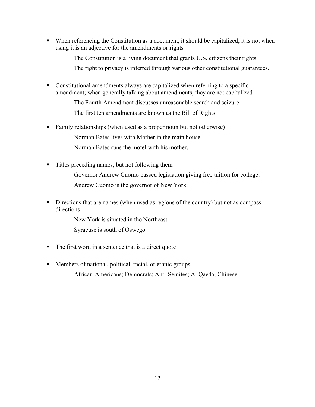■ When referencing the Constitution as a document, it should be capitalized; it is not when using it is an adjective for the amendments or rights

The Constitution is a living document that grants U.S. citizens their rights.

The right to privacy is inferred through various other constitutional guarantees.

▪ Constitutional amendments always are capitalized when referring to a specific amendment; when generally talking about amendments, they are not capitalized

The Fourth Amendment discusses unreasonable search and seizure.

The first ten amendments are known as the Bill of Rights.

■ Family relationships (when used as a proper noun but not otherwise) Norman Bates lives with Mother in the main house.

Norman Bates runs the motel with his mother.

Titles preceding names, but not following them

Governor Andrew Cuomo passed legislation giving free tuition for college. Andrew Cuomo is the governor of New York.

**EXECUTE:** Directions that are names (when used as regions of the country) but not as compass directions

New York is situated in the Northeast.

Syracuse is south of Oswego.

- The first word in a sentence that is a direct quote
- Members of national, political, racial, or ethnic groups African-Americans; Democrats; Anti-Semites; Al Qaeda; Chinese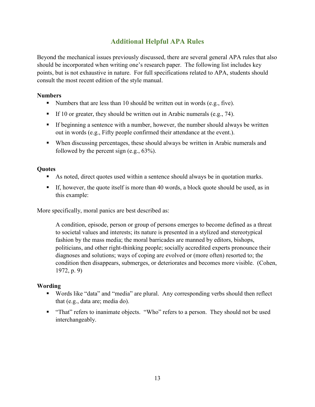# **Additional Helpful APA Rules**

<span id="page-14-0"></span>Beyond the mechanical issues previously discussed, there are several general APA rules that also should be incorporated when writing one's research paper. The following list includes key points, but is not exhaustive in nature. For full specifications related to APA, students should consult the most recent edition of the style manual.

## **Numbers**

- E Numbers that are less than 10 should be written out in words (e.g., five).
- **•** If 10 or greater, they should be written out in Arabic numerals (e.g., 74).
- **•** If beginning a sentence with a number, however, the number should always be written out in words (e.g., Fifty people confirmed their attendance at the event.).
- When discussing percentages, these should always be written in Arabic numerals and followed by the percent sign (e.g., 63%).

## **Quotes**

- As noted, direct quotes used within a sentence should always be in quotation marks.
- If, however, the quote itself is more than 40 words, a block quote should be used, as in this example:

More specifically, moral panics are best described as:

A condition, episode, person or group of persons emerges to become defined as a threat to societal values and interests; its nature is presented in a stylized and stereotypical fashion by the mass media; the moral barricades are manned by editors, bishops, politicians, and other right-thinking people; socially accredited experts pronounce their diagnoses and solutions; ways of coping are evolved or (more often) resorted to; the condition then disappears, submerges, or deteriorates and becomes more visible. (Cohen, 1972, p. 9)

# **Wording**

- Words like "data" and "media" are plural. Any corresponding verbs should then reflect that (e.g., data are; media do).
- "That" refers to inanimate objects. "Who" refers to a person. They should not be used interchangeably.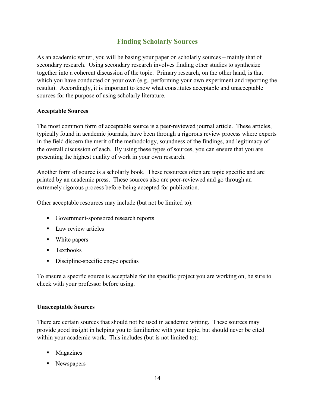# **Finding Scholarly Sources**

<span id="page-15-0"></span>As an academic writer, you will be basing your paper on scholarly sources – mainly that of secondary research. Using secondary research involves finding other studies to synthesize together into a coherent discussion of the topic. Primary research, on the other hand, is that which you have conducted on your own (e.g., performing your own experiment and reporting the results). Accordingly, it is important to know what constitutes acceptable and unacceptable sources for the purpose of using scholarly literature.

## <span id="page-15-1"></span>**Acceptable Sources**

The most common form of acceptable source is a peer-reviewed journal article. These articles, typically found in academic journals, have been through a rigorous review process where experts in the field discern the merit of the methodology, soundness of the findings, and legitimacy of the overall discussion of each. By using these types of sources, you can ensure that you are presenting the highest quality of work in your own research.

Another form of source is a scholarly book. These resources often are topic specific and are printed by an academic press. These sources also are peer-reviewed and go through an extremely rigorous process before being accepted for publication.

Other acceptable resources may include (but not be limited to):

- Government-sponsored research reports
- Law review articles
- White papers
- Textbooks
- Discipline-specific encyclopedias

To ensure a specific source is acceptable for the specific project you are working on, be sure to check with your professor before using.

#### <span id="page-15-2"></span>**Unacceptable Sources**

There are certain sources that should not be used in academic writing. These sources may provide good insight in helping you to familiarize with your topic, but should never be cited within your academic work. This includes (but is not limited to):

- Magazines
- Newspapers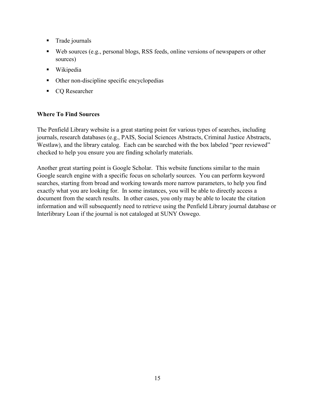- **Trade journals**
- Web sources (e.g., personal blogs, RSS feeds, online versions of newspapers or other sources)
- Wikipedia
- Other non-discipline specific encyclopedias
- CQ Researcher

## <span id="page-16-0"></span>**Where To Find Sources**

The Penfield Library website is a great starting point for various types of searches, including journals, research databases (e.g., PAIS, Social Sciences Abstracts, Criminal Justice Abstracts, Westlaw), and the library catalog. Each can be searched with the box labeled "peer reviewed" checked to help you ensure you are finding scholarly materials.

Another great starting point is Google Scholar. This website functions similar to the main Google search engine with a specific focus on scholarly sources. You can perform keyword searches, starting from broad and working towards more narrow parameters, to help you find exactly what you are looking for. In some instances, you will be able to directly access a document from the search results. In other cases, you only may be able to locate the citation information and will subsequently need to retrieve using the Penfield Library journal database or Interlibrary Loan if the journal is not cataloged at SUNY Oswego.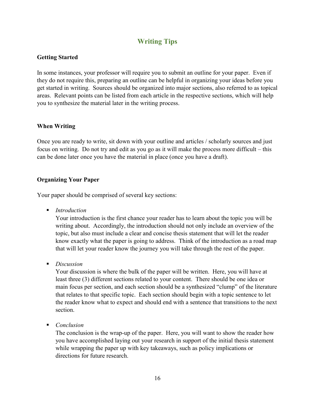# **Writing Tips**

## <span id="page-17-1"></span><span id="page-17-0"></span>**Getting Started**

In some instances, your professor will require you to submit an outline for your paper. Even if they do not require this, preparing an outline can be helpful in organizing your ideas before you get started in writing. Sources should be organized into major sections, also referred to as topical areas. Relevant points can be listed from each article in the respective sections, which will help you to synthesize the material later in the writing process.

#### <span id="page-17-2"></span>**When Writing**

Once you are ready to write, sit down with your outline and articles / scholarly sources and just focus on writing. Do not try and edit as you go as it will make the process more difficult – this can be done later once you have the material in place (once you have a draft).

## <span id="page-17-3"></span>**Organizing Your Paper**

Your paper should be comprised of several key sections:

■ *Introduction* 

Your introduction is the first chance your reader has to learn about the topic you will be writing about. Accordingly, the introduction should not only include an overview of the topic, but also must include a clear and concise thesis statement that will let the reader know exactly what the paper is going to address. Think of the introduction as a road map that will let your reader know the journey you will take through the rest of the paper.

■ *Discussion* 

Your discussion is where the bulk of the paper will be written. Here, you will have at least three (3) different sections related to your content. There should be one idea or main focus per section, and each section should be a synthesized "clump" of the literature that relates to that specific topic. Each section should begin with a topic sentence to let the reader know what to expect and should end with a sentence that transitions to the next section.

■ *Conclusion* 

The conclusion is the wrap-up of the paper. Here, you will want to show the reader how you have accomplished laying out your research in support of the initial thesis statement while wrapping the paper up with key takeaways, such as policy implications or directions for future research.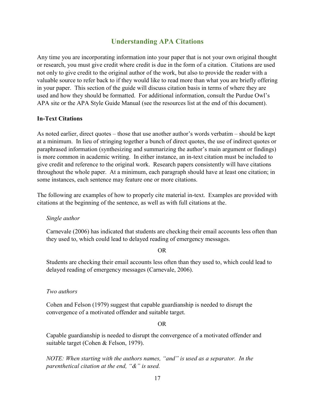# **Understanding APA Citations**

<span id="page-18-0"></span>Any time you are incorporating information into your paper that is not your own original thought or research, you must give credit where credit is due in the form of a citation. Citations are used not only to give credit to the original author of the work, but also to provide the reader with a valuable source to refer back to if they would like to read more than what you are briefly offering in your paper. This section of the guide will discuss citation basis in terms of where they are used and how they should be formatted. For additional information, consult the Purdue Owl's APA site or the APA Style Guide Manual (see the resources list at the end of this document).

#### <span id="page-18-1"></span>**In-Text Citations**

As noted earlier, direct quotes – those that use another author's words verbatim – should be kept at a minimum. In lieu of stringing together a bunch of direct quotes, the use of indirect quotes or paraphrased information (synthesizing and summarizing the author's main argument or findings) is more common in academic writing. In either instance, an in-text citation must be included to give credit and reference to the original work. Research papers consistently will have citations throughout the whole paper. At a minimum, each paragraph should have at least one citation; in some instances, each sentence may feature one or more citations.

The following are examples of how to properly cite material in-text. Examples are provided with citations at the beginning of the sentence, as well as with full citations at the.

*Single author*

Carnevale (2006) has indicated that students are checking their email accounts less often than they used to, which could lead to delayed reading of emergency messages.

#### OR

Students are checking their email accounts less often than they used to, which could lead to delayed reading of emergency messages (Carnevale, 2006).

#### *Two authors*

Cohen and Felson (1979) suggest that capable guardianship is needed to disrupt the convergence of a motivated offender and suitable target.

OR

Capable guardianship is needed to disrupt the convergence of a motivated offender and suitable target (Cohen & Felson, 1979).

*NOTE: When starting with the authors names, "and" is used as a separator. In the parenthetical citation at the end, "&" is used.*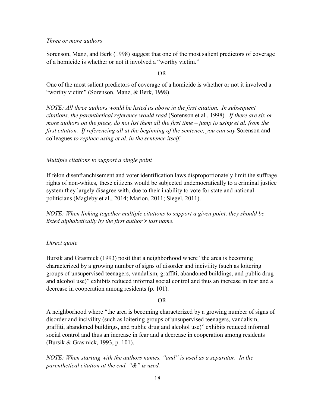#### *Three or more authors*

Sorenson, Manz, and Berk (1998) suggest that one of the most salient predictors of coverage of a homicide is whether or not it involved a "worthy victim."

#### OR

One of the most salient predictors of coverage of a homicide is whether or not it involved a "worthy victim" (Sorenson, Manz, & Berk, 1998).

*NOTE: All three authors would be listed as above in the first citation. In subsequent citations, the parenthetical reference would read* (Sorenson et al., 1998). *If there are six or more authors on the piece, do not list them all the first time – <i>jump to using et al. from the first citation. If referencing all at the beginning of the sentence, you can say* Sorenson and colleagues *to replace using et al. in the sentence itself.*

#### *Multiple citations to support a single point*

If felon disenfranchisement and voter identification laws disproportionately limit the suffrage rights of non-whites, these citizens would be subjected undemocratically to a criminal justice system they largely disagree with, due to their inability to vote for state and national politicians (Magleby et al., 2014; Marion, 2011; Siegel, 2011).

*NOTE: When linking together multiple citations to support a given point, they should be listed alphabetically by the first author's last name.*

#### *Direct quote*

Bursik and Grasmick (1993) posit that a neighborhood where "the area is becoming characterized by a growing number of signs of disorder and incivility (such as loitering groups of unsupervised teenagers, vandalism, graffiti, abandoned buildings, and public drug and alcohol use)" exhibits reduced informal social control and thus an increase in fear and a decrease in cooperation among residents (p. 101).

#### OR

A neighborhood where "the area is becoming characterized by a growing number of signs of disorder and incivility (such as loitering groups of unsupervised teenagers, vandalism, graffiti, abandoned buildings, and public drug and alcohol use)" exhibits reduced informal social control and thus an increase in fear and a decrease in cooperation among residents (Bursik & Grasmick, 1993, p. 101).

*NOTE: When starting with the authors names, "and" is used as a separator. In the parenthetical citation at the end, "&" is used.*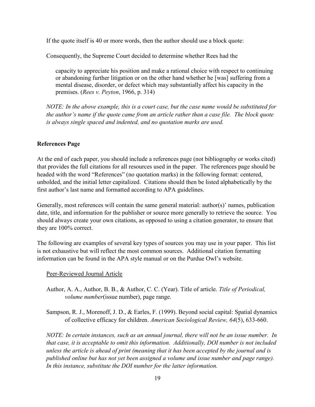If the quote itself is 40 or more words, then the author should use a block quote:

Consequently, the Supreme Court decided to determine whether Rees had the

capacity to appreciate his position and make a rational choice with respect to continuing or abandoning further litigation or on the other hand whether he [was] suffering from a mental disease, disorder, or defect which may substantially affect his capacity in the premises. (*Rees v. Peyton*, 1966, p. 314)

*NOTE: In the above example, this is a court case, but the case name would be substituted for the author's name if the quote came from an article rather than a case file. The block quote is always single spaced and indented, and no quotation marks are used.*

# <span id="page-20-0"></span>**References Page**

At the end of each paper, you should include a references page (not bibliography or works cited) that provides the full citations for all resources used in the paper. The references page should be headed with the word "References" (no quotation marks) in the following format: centered, unbolded, and the initial letter capitalized. Citations should then be listed alphabetically by the first author's last name and formatted according to APA guidelines.

Generally, most references will contain the same general material: author(s)' names, publication date, title, and information for the publisher or source more generally to retrieve the source. You should always create your own citations, as opposed to using a citation generator, to ensure that they are 100% correct.

The following are examples of several key types of sources you may use in your paper. This list is not exhaustive but will reflect the most common sources. Additional citation formatting information can be found in the APA style manual or on the Purdue Owl's website.

# Peer-Reviewed Journal Article

Author, A. A., Author, B. B., & Author, C. C. (Year). Title of article. *Title of Periodical, volume number*(issue number), page range.

Sampson, R. J., Morenoff, J. D., & Earles, F. (1999). Beyond social capital: Spatial dynamics of collective efficacy for children. *American Sociological Review, 64*(5), 633-660.

*NOTE: In certain instances, such as an annual journal, there will not be an issue number. In that case, it is acceptable to omit this information. Additionally, DOI number is not included unless the article is ahead of print (meaning that it has been accepted by the journal and is published online but has not yet been assigned a volume and issue number and page range). In this instance, substitute the DOI number for the latter information.*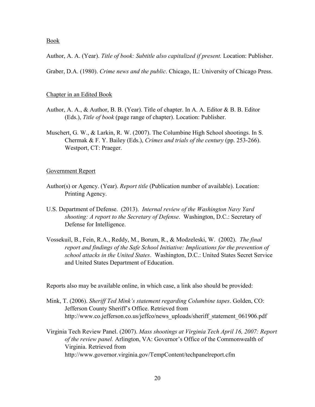Book

Author, A. A. (Year). *Title of book: Subtitle also capitalized if present.* Location: Publisher.

Graber, D.A. (1980). *Crime news and the public*. Chicago, IL: University of Chicago Press.

#### Chapter in an Edited Book

- Author, A. A., & Author, B. B. (Year). Title of chapter. In A. A. Editor & B. B. Editor (Eds.), *Title of book* (page range of chapter). Location: Publisher.
- Muschert, G. W., & Larkin, R. W. (2007). The Columbine High School shootings. In S. Chermak & F. Y. Bailey (Eds.), *Crimes and trials of the century* (pp. 253-266). Westport, CT: Praeger.

#### Government Report

- Author(s) or Agency. (Year). *Report title* (Publication number of available). Location: Printing Agency.
- U.S. Department of Defense. (2013). *Internal review of the Washington Navy Yard shooting: A report to the Secretary of Defense*. Washington, D.C.: Secretary of Defense for Intelligence.
- Vossekuil, B., Fein, R.A., Reddy, M., Borum, R., & Modzeleski, W. (2002). *The final report and findings of the Safe School Initiative: Implications for the prevention of school attacks in the United States*. Washington, D.C.: United States Secret Service and United States Department of Education.

Reports also may be available online, in which case, a link also should be provided:

- Mink, T. (2006). *Sheriff Ted Mink's statement regarding Columbine tapes*. Golden, CO: Jefferson County Sheriff's Office. Retrieved from http://www.co.jefferson.co.us/jeffco/news\_uploads/sheriff\_statement\_061906.pdf
- Virginia Tech Review Panel. (2007). *Mass shootings at Virginia Tech April 16, 2007: Report of the review panel.* Arlington, VA: Governor's Office of the Commonwealth of Virginia. Retrieved from http://www.governor.virginia.gov/TempContent/techpanelreport.cfm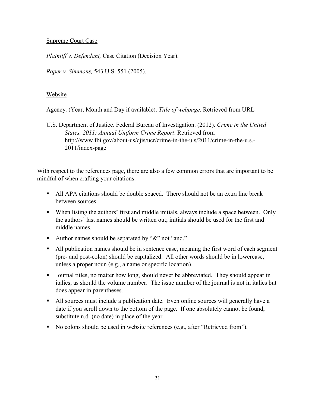# Supreme Court Case

*Plaintiff v. Defendant,* Case Citation (Decision Year).

*Roper v. Simmons,* 543 U.S. 551 (2005).

## Website

Agency. (Year, Month and Day if available). *Title of webpage*. Retrieved from URL

U.S. Department of Justice. Federal Bureau of Investigation. (2012). *Crime in the United States, 2011: Annual Uniform Crime Report*. Retrieved from http://www.fbi.gov/about-us/cjis/ucr/crime-in-the-u.s/2011/crime-in-the-u.s.- 2011/index-page

With respect to the references page, there are also a few common errors that are important to be mindful of when crafting your citations:

- All APA citations should be double spaced. There should not be an extra line break between sources.
- When listing the authors' first and middle initials, always include a space between. Only the authors' last names should be written out; initials should be used for the first and middle names.
- Author names should be separated by "&" not "and."
- All publication names should be in sentence case, meaning the first word of each segment (pre- and post-colon) should be capitalized. All other words should be in lowercase, unless a proper noun (e.g., a name or specific location).
- **•** Journal titles, no matter how long, should never be abbreviated. They should appear in italics, as should the volume number. The issue number of the journal is not in italics but does appear in parentheses.
- All sources must include a publication date. Even online sources will generally have a date if you scroll down to the bottom of the page. If one absolutely cannot be found, substitute n.d. (no date) in place of the year.
- No colons should be used in website references (e.g., after "Retrieved from").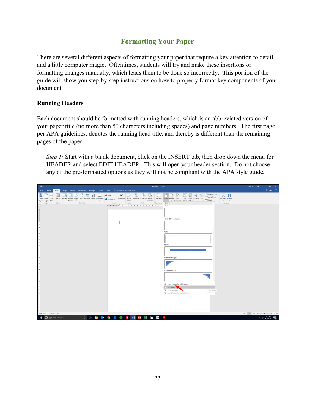# **Formatting Your Paper**

<span id="page-23-0"></span>There are several different aspects of formatting your paper that require a key attention to detail and a little computer magic. Oftentimes, students will try and make these insertions or formatting changes manually, which leads them to be done so incorrectly. This portion of the guide will show you step-by-step instructions on how to properly format key components of your document.

# <span id="page-23-1"></span>**Running Headers**

Each document should be formatted with running headers, which is an abbreviated version of your paper title (no more than 50 characters including spaces) and page numbers. The first page, per APA guidelines, denotes the running head title, and thereby is different than the remaining pages of the paper.

*Step 1:* Start with a blank document, click on the INSERT tab, then drop down the menu for HEADER and select EDIT HEADER. This will open your header section. Do not choose any of the pre-formatted options as they will not be compliant with the APA style guide.

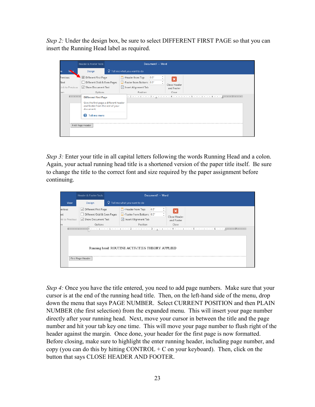*Step 2:* Under the design box, be sure to select DIFFERENT FIRST PAGE so that you can insert the Running Head label as required.

|                                              | Header & Footer Tools                                                                                                                 |                                      |                                                                                                             | Document1 - Word |                                     |  |
|----------------------------------------------|---------------------------------------------------------------------------------------------------------------------------------------|--------------------------------------|-------------------------------------------------------------------------------------------------------------|------------------|-------------------------------------|--|
| w                                            | Design                                                                                                                                | $\Omega$ Tell me what you want to do |                                                                                                             |                  |                                     |  |
| Previous<br>Next<br>Link to Previous<br>tion | √ Different First Page<br>Different Odd & Even Pages<br>Show Document Text<br>Options                                                 |                                      | $\overline{\phantom{a}}$ + Header from Top:<br>Footer from Bottom: 0.5"<br>Insert Alignment Tab<br>Position | 0.5"             | Close Header<br>and Footer<br>Close |  |
|                                              | $1 + 1 + 1$<br><b>Different First Page</b><br>Give the first page a different header<br>and footer from the rest of your<br>document. |                                      |                                                                                                             |                  |                                     |  |
|                                              | Ω<br><b>Tell me more</b><br>First Page Header                                                                                         |                                      |                                                                                                             |                  |                                     |  |

*Step 3:* Enter your title in all capital letters following the words Running Head and a colon. Again, your actual running head title is a shortened version of the paper title itself. Be sure to change the title to the correct font and size required by the paper assignment before continuing.

|                | Header & Footer Tools           |  |                                                 | Document1 - Word |  |              |  |
|----------------|---------------------------------|--|-------------------------------------------------|------------------|--|--------------|--|
| View           | Design                          |  | $\Omega$ Tell me what you want to do            |                  |  |              |  |
| evious         | √ Different First Page          |  | Header from Top:                                | 0.5"             |  | ×            |  |
| ьxе            | Different Odd & Even Pages<br>ш |  | Footer from Bottom: 0.5"                        |                  |  | Close Header |  |
| nk to Previous | Show Document Text              |  | Insert Alignment Tab                            |                  |  | and Footer   |  |
| 'n             | Options                         |  | Position                                        |                  |  | Close        |  |
|                | First Page Header               |  | Running head: ROUTINE ACTIVITIES THEORY APPLIED |                  |  |              |  |

*Step 4:* Once you have the title entered, you need to add page numbers. Make sure that your cursor is at the end of the running head title. Then, on the left-hand side of the menu, drop down the menu that says PAGE NUMBER. Select CURRENT POSITION and then PLAIN NUMBER (the first selection) from the expanded menu. This will insert your page number directly after your running head. Next, move your cursor in between the title and the page number and hit your tab key one time. This will move your page number to flush right of the header against the margin. Once done, your header for the first page is now formatted. Before closing, make sure to highlight the enter running header, including page number, and copy (you can do this by hitting CONTROL  $+$  C on your keyboard). Then, click on the button that says CLOSE HEADER AND FOOTER.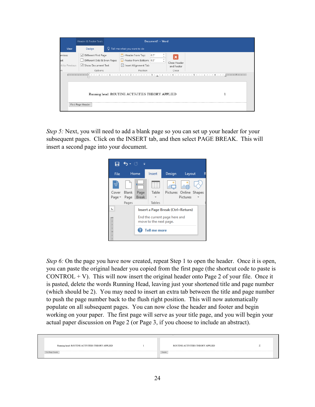|                                       | Header & Footer Tools                                                                 |  |                                                                                  | Document1 - Word |                                     |  |  |  |  |  |
|---------------------------------------|---------------------------------------------------------------------------------------|--|----------------------------------------------------------------------------------|------------------|-------------------------------------|--|--|--|--|--|
| View                                  | Design                                                                                |  | $\Omega$ Tell me what you want to do                                             |                  |                                     |  |  |  |  |  |
| evious<br>ext<br>nk to Previous<br>9n | √ Different First Page<br>Different Odd & Even Pages<br>Show Document Text<br>Options |  | Header from Top:<br>Footer from Bottom: 0.5"<br>Insert Alignment Tab<br>Position | 0.5"             | Close Header<br>and Footer<br>Close |  |  |  |  |  |
|                                       | Running head: ROUTINE ACTIVITIES THEORY APPLIED<br>First Page Header                  |  |                                                                                  |                  |                                     |  |  |  |  |  |

*Step 5:* Next, you will need to add a blank page so you can set up your header for your subsequent pages. Click on the INSERT tab, and then select PAGE BREAK. This will insert a second page into your document.



*Step 6:* On the page you have now created, repeat Step 1 to open the header. Once it is open, you can paste the original header you copied from the first page (the shortcut code to paste is CONTROL  $+$  V). This will now insert the original header onto Page 2 of your file. Once it is pasted, delete the words Running Head, leaving just your shortened title and page number (which should be 2). You may need to insert an extra tab between the title and page number to push the page number back to the flush right position. This will now automatically populate on all subsequent pages. You can now close the header and footer and begin working on your paper. The first page will serve as your title page, and you will begin your actual paper discussion on Page 2 (or Page 3, if you choose to include an abstract).

| Running head: ROUTINE ACTIVITIES THEORY APPLIED | ROUTINE ACTIVITIES THEORY APPLIED |  |
|-------------------------------------------------|-----------------------------------|--|
| t Page Header                                   | Header                            |  |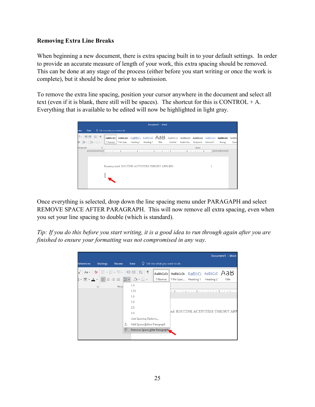# <span id="page-26-0"></span>**Removing Extra Line Breaks**

When beginning a new document, there is extra spacing built in to your default settings. In order to provide an accurate measure of length of your work, this extra spacing should be removed. This can be done at any stage of the process (either before you start writing or once the work is complete), but it should be done prior to submission.

To remove the extra line spacing, position your cursor anywhere in the document and select all text (even if it is blank, there still will be spaces). The shortcut for this is CONTROL  $+A$ . Everything that is available to be edited will now be highlighted in light gray.

|                                                 |      |                      |                                                                                                                                                |  |  |  | Document1 - Word |          |                    |        |           |        |       |
|-------------------------------------------------|------|----------------------|------------------------------------------------------------------------------------------------------------------------------------------------|--|--|--|------------------|----------|--------------------|--------|-----------|--------|-------|
| view                                            | View |                      | $\Omega$ Tell me what you want to do                                                                                                           |  |  |  |                  |          |                    |        |           |        |       |
|                                                 |      |                      | $E = \mathbb{E}$ <b>E</b> $\mathbb{E}$ 1 <b>F</b> abbody AaBbody AaBbC AaBbody AaBbody AaBbody AaBbody AaBbody AaBbody AaBbody AaBbody AaBbody |  |  |  |                  |          |                    |        |           |        |       |
| ≣ 1≣ - 2 - ⊞ -                                  |      |                      | 11 Normal    11 No Spac Heading 1 Heading 2 Title                                                                                              |  |  |  |                  | Subtitle | Subtle Em Emphasis |        | Intense E | Strong | Quote |
| Paragraph                                       |      | <b>Simple Report</b> |                                                                                                                                                |  |  |  |                  |          |                    | Styles |           |        |       |
|                                                 |      |                      |                                                                                                                                                |  |  |  |                  |          |                    |        |           |        |       |
| Running head: ROUTINE ACTIVITIES THEORY APPLIED |      |                      |                                                                                                                                                |  |  |  |                  |          |                    |        |           |        |       |

Once everything is selected, drop down the line spacing menu under PARAGAPH and select REMOVE SPACE AFTER PARAGRAPH. This will now remove all extra spacing, even when you set your line spacing to double (which is standard).

*Tip: If you do this before you start writing, it is a good idea to run through again after you are finished to ensure your formatting was not compromised in any way.*

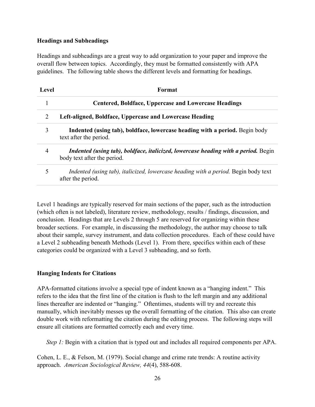## <span id="page-27-0"></span>**Headings and Subheadings**

Headings and subheadings are a great way to add organization to your paper and improve the overall flow between topics. Accordingly, they must be formatted consistently with APA guidelines. The following table shows the different levels and formatting for headings.

| Level | Format                                                                                                            |
|-------|-------------------------------------------------------------------------------------------------------------------|
|       | <b>Centered, Boldface, Uppercase and Lowercase Headings</b>                                                       |
| 2     | Left-aligned, Boldface, Uppercase and Lowercase Heading                                                           |
| 3     | Indented (using tab), boldface, lowercase heading with a period. Begin body<br>text after the period.             |
| 4     | Indented (using tab), boldface, italicized, lowercase heading with a period. Begin<br>body text after the period. |
| 5     | Indented (using tab), italicized, lowercase heading with a period. Begin body text<br>after the period.           |

Level 1 headings are typically reserved for main sections of the paper, such as the introduction (which often is not labeled), literature review, methodology, results / findings, discussion, and conclusion. Headings that are Levels 2 through 5 are reserved for organizing within these broader sections. For example, in discussing the methodology, the author may choose to talk about their sample, survey instrument, and data collection procedures. Each of these could have a Level 2 subheading beneath Methods (Level 1). From there, specifics within each of these categories could be organized with a Level 3 subheading, and so forth.

# <span id="page-27-1"></span>**Hanging Indents for Citations**

APA-formatted citations involve a special type of indent known as a "hanging indent." This refers to the idea that the first line of the citation is flush to the left margin and any additional lines thereafter are indented or "hanging." Oftentimes, students will try and recreate this manually, which inevitably messes up the overall formatting of the citation. This also can create double work with reformatting the citation during the editing process. The following steps will ensure all citations are formatted correctly each and every time.

*Step 1:* Begin with a citation that is typed out and includes all required components per APA.

Cohen, L. E., & Felson, M. (1979). Social change and crime rate trends: A routine activity approach. *American Sociological Review, 44*(4), 588-608.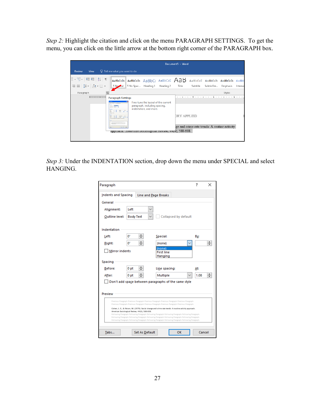*Step 2:* Highlight the citation and click on the menu PARAGRAPH SETTINGS. To get the menu, you can click on the little arrow at the bottom right corner of the PARAGRAPH box.

|                                                                                                            |                                                                                                           |                                                                                                |                                                  |           | Document5 - Word |          |                                              |                    |         |
|------------------------------------------------------------------------------------------------------------|-----------------------------------------------------------------------------------------------------------|------------------------------------------------------------------------------------------------|--------------------------------------------------|-----------|------------------|----------|----------------------------------------------|--------------------|---------|
| Review<br>View                                                                                             | $Q$ Tell me what you want to do                                                                           |                                                                                                |                                                  |           |                  |          |                                              |                    |         |
| '루*   三三 원   1                                                                                             |                                                                                                           | $\vert$ AaBbCcDc $\vert$ AaBbCcDc $\vert$ AaBbCc AaBbCcC $\vert$ AaBbCcC AaBbCcDc AaBbCcDc     |                                                  |           |                  |          |                                              |                    | AaBbC   |
| $\equiv$ $\equiv$ $\left  \right. \pm$ $\sim$ $\left. \right. \right $ $\sim$ $\equiv$ $\sim$<br>Paragraph | T No mal<br>反                                                                                             | 1 No Spac Heading 1                                                                            |                                                  | Heading 2 | Title            | Subtitle | Subtle Em                                    | Emphasis<br>Styles | Intense |
| 1                                                                                                          | <b>Paragraph Settings</b><br>play of tody incontracted<br><b>COLLA</b><br>E. C.                           | Fine-tune the layout of the current<br>paragraph, including spacing,<br>indentation, and more. | 4 5 <b>6</b><br><b>CONTRACTOR</b><br>DRY APPLIED |           |                  |          |                                              |                    |         |
|                                                                                                            | <b>Start</b><br>New Block<br><b>Carl Line</b><br>approacii. American sociological Review, 44(4), 588-608. |                                                                                                |                                                  |           |                  |          | ge and crime rate trends: A routine activity |                    |         |

*Step 3:* Under the INDENTATION section, drop down the menu under SPECIAL and select HANGING.

| Paragraph                  |                                               |                                                                                                                                                                                                                                                                                                                                                                                                                                                                                                                                                                                                                               | 7   | ×      |
|----------------------------|-----------------------------------------------|-------------------------------------------------------------------------------------------------------------------------------------------------------------------------------------------------------------------------------------------------------------------------------------------------------------------------------------------------------------------------------------------------------------------------------------------------------------------------------------------------------------------------------------------------------------------------------------------------------------------------------|-----|--------|
| <b>Indents and Spacing</b> |                                               | Line and Page Breaks                                                                                                                                                                                                                                                                                                                                                                                                                                                                                                                                                                                                          |     |        |
| General                    |                                               |                                                                                                                                                                                                                                                                                                                                                                                                                                                                                                                                                                                                                               |     |        |
| Alignment:                 | Left                                          |                                                                                                                                                                                                                                                                                                                                                                                                                                                                                                                                                                                                                               |     |        |
| Outline level:             | <b>Body Text</b>                              | Collapsed by default                                                                                                                                                                                                                                                                                                                                                                                                                                                                                                                                                                                                          |     |        |
| Indentation                |                                               |                                                                                                                                                                                                                                                                                                                                                                                                                                                                                                                                                                                                                               |     |        |
| Left:                      | ≑<br>0.                                       | Special:                                                                                                                                                                                                                                                                                                                                                                                                                                                                                                                                                                                                                      | By: |        |
| Right:                     | ÷<br>o.                                       | (none)                                                                                                                                                                                                                                                                                                                                                                                                                                                                                                                                                                                                                        |     |        |
| <b>Mirror indents</b>      |                                               | (none)<br><b>First line</b><br>Hanging                                                                                                                                                                                                                                                                                                                                                                                                                                                                                                                                                                                        |     |        |
| Spacing                    |                                               |                                                                                                                                                                                                                                                                                                                                                                                                                                                                                                                                                                                                                               |     |        |
| Before:                    | 0 <sub>pt</sub>                               | Line spacing:                                                                                                                                                                                                                                                                                                                                                                                                                                                                                                                                                                                                                 | At: |        |
| After:                     | $\div$<br>0 <sub>pt</sub>                     | Multiple                                                                                                                                                                                                                                                                                                                                                                                                                                                                                                                                                                                                                      |     | 1.08   |
| Preview                    |                                               | Don't add space between paragraphs of the same style                                                                                                                                                                                                                                                                                                                                                                                                                                                                                                                                                                          |     |        |
|                            | American Sociological Review, 44(4), 588-608. | Previous Paragraph Previous Paragraph Previous Paragraph Previous Paragraph Previous Paragraph<br>Previous Paragraph Previous Paragraph Previous Paragraph Previous Paragraph Previous Paragraph<br>Cohen, L. E., & Felson, M. (1979). Social change and crime rate trends: A routine activity approach.<br>Following Paragraph Following Paragraph Following Paragraph Following Paragraph Following Paragraph<br>Following Paragraph Following Paragraph Following Paragraph Following Paragraph Following Paragraph<br>Following Paragraph Following Paragraph Following Paragraph Following Paragraph Following Paragraph |     |        |
| Tabs                       | Set As Default                                | OK                                                                                                                                                                                                                                                                                                                                                                                                                                                                                                                                                                                                                            |     | Cancel |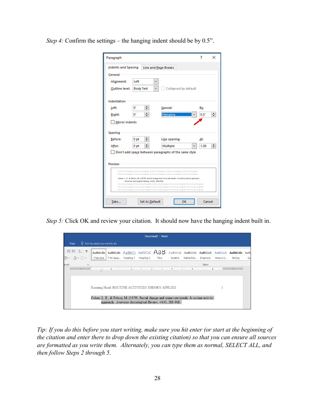*Step 4:* Confirm the settings – the hanging indent should be by 0.5".

| Paragraph             |                                               |                                                                                                                                                                                                  | 7    | x |  |  |  |
|-----------------------|-----------------------------------------------|--------------------------------------------------------------------------------------------------------------------------------------------------------------------------------------------------|------|---|--|--|--|
| Indents and Spacing   |                                               | Line and Page Breaks                                                                                                                                                                             |      |   |  |  |  |
| General               |                                               |                                                                                                                                                                                                  |      |   |  |  |  |
| Alignment:            | Left                                          |                                                                                                                                                                                                  |      |   |  |  |  |
| Outline level:        | <b>Body Text</b><br>Collapsed by default      |                                                                                                                                                                                                  |      |   |  |  |  |
| Indentation           |                                               |                                                                                                                                                                                                  |      |   |  |  |  |
| Left:                 | o.                                            | Special:                                                                                                                                                                                         | By:  |   |  |  |  |
| Right:                | 0.                                            | Hanging                                                                                                                                                                                          | 0.5" |   |  |  |  |
| <b>Mirror indents</b> |                                               |                                                                                                                                                                                                  |      |   |  |  |  |
| Spacing               |                                               |                                                                                                                                                                                                  |      |   |  |  |  |
| Before:               | 0 <sub>pt</sub>                               | Line spacing:                                                                                                                                                                                    | At:  |   |  |  |  |
| After:                | 0 <sub>pt</sub>                               | Multiple                                                                                                                                                                                         | 1.08 |   |  |  |  |
|                       |                                               | Don't add space between paragraphs of the same style                                                                                                                                             |      |   |  |  |  |
|                       |                                               |                                                                                                                                                                                                  |      |   |  |  |  |
| Preview               |                                               |                                                                                                                                                                                                  |      |   |  |  |  |
|                       |                                               | Previous Paragraph Previous Paragraph Previous Paragraph Previous Paragraph Previous Paragraph<br>Previous Paragraph Previous Paragraph Previous Paragraph Previous Paragraph Previous Paragraph |      |   |  |  |  |
|                       | American Sociological Review, 44(4), 588-608. | Cohen, L. E., & Felson, M. (1979). Social change and crime rate trends: A routine activity approach.                                                                                             |      |   |  |  |  |
|                       |                                               | Following Paragraph Following Paragraph Following Paragraph Following Paragraph Following Paragraph                                                                                              |      |   |  |  |  |
|                       |                                               | Following Paragraph Following Paragraph Following Paragraph Following Paragraph Following Paragraph                                                                                              |      |   |  |  |  |
|                       |                                               | Following Paragraph Following Paragraph Following Paragraph Following Paragraph Following Paragraph                                                                                              |      |   |  |  |  |

*Step 5:* Click OK and review your citation. It should now have the hanging indent built in.

| Document5 - Word                                                                                                                                      |      |  |                                 |  |  |  |  |  |  |        |  |  |  |
|-------------------------------------------------------------------------------------------------------------------------------------------------------|------|--|---------------------------------|--|--|--|--|--|--|--------|--|--|--|
|                                                                                                                                                       | View |  | $Q$ Tell me what you want to do |  |  |  |  |  |  |        |  |  |  |
|                                                                                                                                                       |      |  |                                 |  |  |  |  |  |  |        |  |  |  |
| graph                                                                                                                                                 |      |  |                                 |  |  |  |  |  |  | Styles |  |  |  |
| Running Head: ROUTINE ACTIVITIES THEORY APPLIED                                                                                                       |      |  |                                 |  |  |  |  |  |  |        |  |  |  |
| Cohen, L. E., & Felson, M. (1979). Social change and crime rate trends: A routine activity<br>approach. American Sociological Review, 44(4), 588-608. |      |  |                                 |  |  |  |  |  |  |        |  |  |  |

*Tip: If you do this before you start writing, make sure you hit enter (or start at the beginning of the citation and enter there to drop down the existing citation) so that you can ensure all sources are formatted as you write them. Alternately, you can type them as normal, SELECT ALL, and then follow Steps 2 through 5.*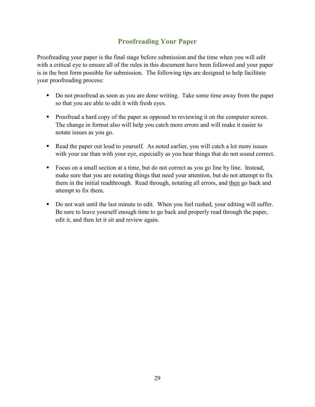# **Proofreading Your Paper**

<span id="page-30-0"></span>Proofreading your paper is the final stage before submission and the time when you will edit with a critical eye to ensure all of the rules in this document have been followed and your paper is in the best form possible for submission. The following tips are designed to help facilitate your proofreading process:

- Do not proofread as soon as you are done writing. Take some time away from the paper so that you are able to edit it with fresh eyes.
- Proofread a hard copy of the paper as opposed to reviewing it on the computer screen. The change in format also will help you catch more errors and will make it easier to notate issues as you go.
- Read the paper out loud to yourself. As noted earlier, you will catch a lot more issues with your ear than with your eye, especially as you hear things that do not sound correct.
- Focus on a small section at a time, but do not correct as you go line by line. Instead, make sure that you are notating things that need your attention, but do not attempt to fix them in the initial readthrough. Read through, notating all errors, and then go back and attempt to fix them.
- Do not wait until the last minute to edit. When you feel rushed, your editing will suffer. Be sure to leave yourself enough time to go back and properly read through the paper, edit it, and then let it sit and review again.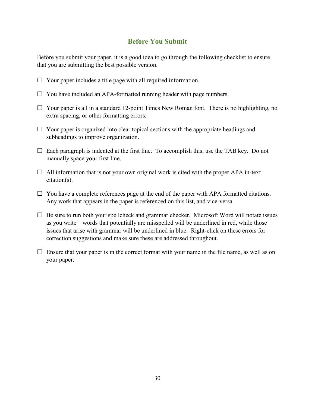# **Before You Submit**

<span id="page-31-0"></span>Before you submit your paper, it is a good idea to go through the following checklist to ensure that you are submitting the best possible version.

- $\Box$  Your paper includes a title page with all required information.
- $\Box$  You have included an APA-formatted running header with page numbers.
- $\Box$  Your paper is all in a standard 12-point Times New Roman font. There is no highlighting, no extra spacing, or other formatting errors.
- $\Box$  Your paper is organized into clear topical sections with the appropriate headings and subheadings to improve organization.
- $\Box$  Each paragraph is indented at the first line. To accomplish this, use the TAB key. Do not manually space your first line.
- $\Box$  All information that is not your own original work is cited with the proper APA in-text citation(s).
- $\Box$  You have a complete references page at the end of the paper with APA formatted citations. Any work that appears in the paper is referenced on this list, and vice-versa.
- $\Box$  Be sure to run both your spellcheck and grammar checker. Microsoft Word will notate issues as you write – words that potentially are misspelled will be underlined in red, while those issues that arise with grammar will be underlined in blue. Right-click on these errors for correction suggestions and make sure these are addressed throughout.
- $\Box$  Ensure that your paper is in the correct format with your name in the file name, as well as on your paper.